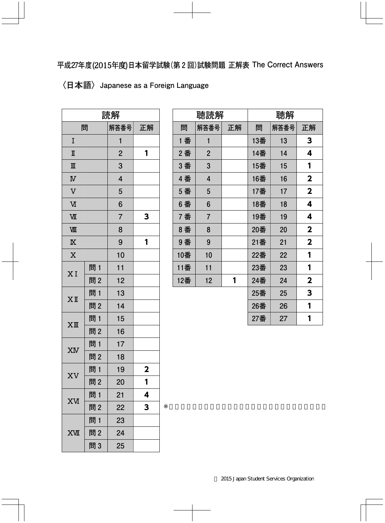## **〈日本語〉Japanese as a Foreign Language**

| 読解                      |     |                |              |
|-------------------------|-----|----------------|--------------|
| 問                       |     | 解答番号           | 正解           |
| I                       |     | 1              |              |
| $\mathbb I$             |     | $\overline{2}$ | 1            |
| $\mathbb{I}$            |     | 3              |              |
| $\overline{\mathbf{N}}$ |     | 4              |              |
| $\overline{\mathsf{V}}$ |     | 5              |              |
| $\overline{M}$          |     | 6              |              |
| VШ                      |     | $\overline{7}$ | 3            |
| VШ                      |     | 8              |              |
| $\overline{\mathbb{X}}$ |     | 9              | 1            |
| $\overline{\mathbf{X}}$ |     | 10             |              |
| XI                      | 問1  | 11             |              |
|                         | 問2  | 12             |              |
| $X$ II                  | 問1  | 13             |              |
|                         | 問2  | 14             |              |
| $XI\!\!I\!\!I$          | 問 1 | 15             |              |
|                         | 問2  | 16             |              |
| XM                      | 問 1 | 17             |              |
|                         | 問2  | 18             |              |
|                         | 問 1 | 19             | $\mathbf{2}$ |
| XV                      | 問2  | 20             | 1            |
| <b>XV</b>               | 問1  | 21             | 4            |
|                         | 問2  | 22             | 3            |
|                         | 問1  | 23             |              |
| <b>XVII</b>             | 問2  | 24             |              |
|                         | 問3  | 25             |              |

| 聴読解 |                |    | 聴解  |      |                         |
|-----|----------------|----|-----|------|-------------------------|
| 問   | 解答番号           | 正解 | 問   | 解答番号 | 正解                      |
| 1 番 | 1              |    | 13番 | 13   | 3                       |
| 2番  | $\overline{2}$ |    | 14番 | 14   | 4                       |
| 3 番 | 3              |    | 15番 | 15   | 1                       |
| 4番  | 4              |    | 16番 | 16   | $\mathbf{2}$            |
| 5 番 | 5              |    | 17番 | 17   | $\overline{\mathbf{2}}$ |
| 6番  | 6              |    | 18番 | 18   | 4                       |
| 7番  | $\overline{7}$ |    | 19番 | 19   | 4                       |
| 8番  | 8              |    | 20番 | 20   | $\overline{\mathbf{2}}$ |
| 9番  | 9              |    | 21番 | 21   | $\overline{\mathbf{2}}$ |
| 10番 | 10             |    | 22番 | 22   | 1                       |
| 11番 | 11             |    | 23番 | 23   | 1                       |
| 12番 | 12             | 1  | 24番 | 24   | $\mathbf 2$             |
|     |                |    | 25番 | 25   | 3                       |
|     |                |    | 26番 | 26   | 1                       |
|     |                |    | 27番 | 27   | 1                       |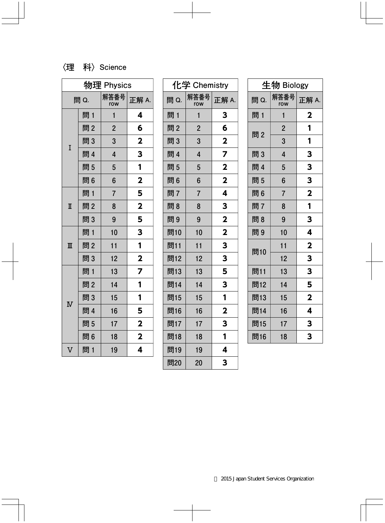## **〈理 科〉Science**

| 物理 Physics            |     |                |                         |
|-----------------------|-----|----------------|-------------------------|
| 問 Q.                  |     | 解答番号<br>row    | 正解 A.                   |
|                       | 問 1 | 1              | 4                       |
|                       | 問2  | $\overline{2}$ | 6                       |
| I                     | 問3  | 3              | $\mathbf 2$             |
|                       | 問 4 | $\overline{4}$ | 3                       |
|                       | 問5  | 5              | 1                       |
|                       | 問6  | 6              | $\overline{\mathbf{2}}$ |
|                       | 問 1 | $\overline{7}$ | 5                       |
| I                     | 問2  | 8              | $\overline{\mathbf{2}}$ |
|                       | 問3  | 9              | 5                       |
|                       | 問1  | 10             | 3                       |
| Ш                     | 問2  | 11             | 1                       |
|                       | 問3  | 12             | $\overline{\mathbf{2}}$ |
|                       | 問 1 | 13             | 7                       |
| $\overline{\text{N}}$ | 問2  | 14             | 1                       |
|                       | 問3  | 15             | 1                       |
|                       | 問 4 | 16             | 5                       |
|                       | 問5  | 17             | $\overline{\mathbf{2}}$ |
|                       | 問6  | 18             | $\overline{\mathbf{2}}$ |
| V                     | 問 1 | 19             | 4                       |

| 化学 Chemistry |                |                         |
|--------------|----------------|-------------------------|
| 問 Q.         | 解答番号<br>row    | 正解 A.                   |
| 問 1          | $\mathbf{1}$   | 3                       |
| 問2           | $\overline{2}$ | 6                       |
| 問3           | 3              | $\overline{\mathbf{2}}$ |
| 問 4          | 4              | $\overline{z}$          |
| 問5           | 5              | $\overline{\mathbf{2}}$ |
| 問6           | 6              | $\overline{\mathbf{2}}$ |
| 問7           | 7              | 4                       |
| 問8           | 8              | 3                       |
| 問9           | 9              | $\overline{\mathbf{2}}$ |
| 問10          | 10             | $\overline{\mathbf{2}}$ |
| 問11          | 11             | 3                       |
| 問12          | 12             | 3                       |
| 問13          | 13             | 5                       |
| 問14          | 14             | 3                       |
| 問15          | 15             | 1                       |
| 問16          | 16             | $\overline{\mathbf{2}}$ |
| 問17          | 17             | 3                       |
| 問18          | 18             | 1                       |
| 問19          | 19             | 4                       |
| 問20          | 20             | 3                       |

| 生物 Biology |                |                         |
|------------|----------------|-------------------------|
| 問 Q.       | 解答番号<br>row    | 正解 A.                   |
| 問 1        | 1              | $\mathbf 2$             |
| 問2         | $\overline{2}$ | 1                       |
|            | 3              | 1                       |
| 問3         | $\overline{4}$ | 3                       |
| 問 4        | 5              | $\mathbf{3}$            |
| 問5         | 6              | 3                       |
| 問6         | $\overline{7}$ | $\mathbf{2}$            |
| 問7         | 8              | 1                       |
| 問8         | 9              | 3                       |
| 問9         | 10             | 4                       |
|            | 11             | $\overline{\mathbf{2}}$ |
| 問10        | 12             | 3                       |
| 問11        | 13             | 3                       |
| 問12        | 14             | 5                       |
| 問13        | 15             | $\overline{\mathbf{2}}$ |
| 問14        | 16             | 4                       |
| 問15        | 17             | 3                       |
| 問16        | 18             | 3                       |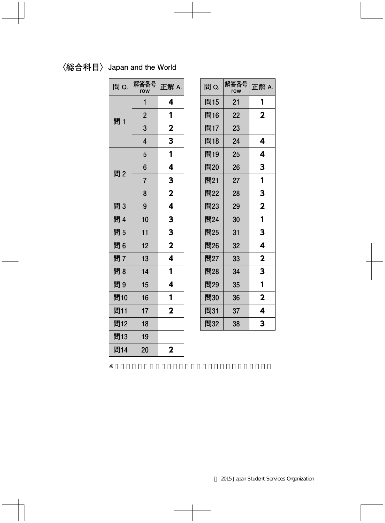## **〈総合科目〉Japan and the World**

| 問 Q. | 解答番号<br>row    | 正解 A.                   |
|------|----------------|-------------------------|
|      | 1              | 4                       |
| 問 1  | $\overline{2}$ | 1                       |
|      | 3              | $\mathbf 2$             |
|      | $\overline{4}$ | 3                       |
|      | 5              | 1                       |
| 問2   | 6              | 4                       |
|      | $\overline{7}$ | 3                       |
|      | 8              | $\mathbf 2$             |
| 問3   | 9              | 4                       |
| 問 4  | 10             | 3                       |
| 問5   | 11             | 3                       |
| 問6   | 12             | $\overline{\mathbf{2}}$ |
| 問7   | 13             | 4                       |
| 問8   | 14             | 1                       |
| 問9   | 15             | 4                       |
| 問10  | 16             | 1                       |
| 問11  | 17             | $\overline{\mathbf{2}}$ |
| 問12  | 18             |                         |
| 問13  | 19             |                         |
| 問14  | 20             | $\mathbf 2$             |

| 問 Q. | 解答番号<br>row | 正解 A.                   |
|------|-------------|-------------------------|
| 問15  | 21          | 1                       |
| 問16  | 22          | $\overline{\mathbf{2}}$ |
| 問17  | 23          |                         |
| 問18  | 24          | 4                       |
| 問19  | 25          | 4                       |
| 問20  | 26          | 3                       |
| 問21  | 27          | 1                       |
| 問22  | 28          | 3                       |
| 問23  | 29          | $\overline{\mathbf{2}}$ |
| 問24  | 30          | 1                       |
| 問25  | 31          | 3                       |
| 問26  | 32          | 4                       |
| 問27  | 33          | $\mathbf 2$             |
| 問28  | 34          | 3                       |
| 問29  | 35          | 1                       |
| 問30  | 36          | $\overline{\mathbf{2}}$ |
| 問31  | 37          | 4                       |
| 問32  | 38          | 3                       |